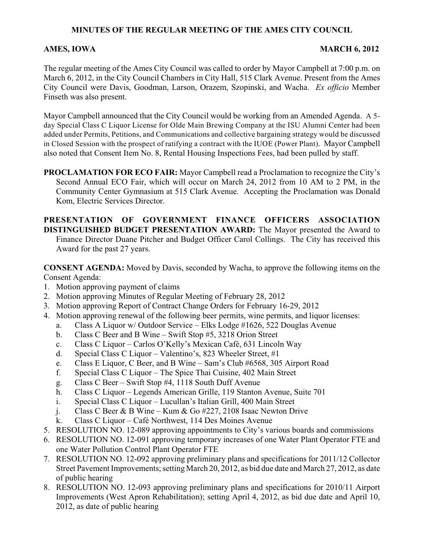# **MINUTES OF THE REGULAR MEETING OF THE AMES CITY COUNCIL**

## AMES, IOWA MARCH 6, 2012

The regular meeting of the Ames City Council was called to order by Mayor Campbell at 7:00 p.m. on March 6, 2012, in the City Council Chambers in City Hall, 515 Clark Avenue. Present from the Ames City Council were Davis, Goodman, Larson, Orazem, Szopinski, and Wacha. *Ex officio* Member Finseth was also present.

Mayor Campbell announced that the City Council would be working from an Amended Agenda. A 5 day Special Class C Liquor License for Olde Main Brewing Company at the ISU Alumni Center had been added under Permits, Petitions, and Communications and collective bargaining strategy would be discussed in Closed Session with the prospect of ratifying a contract with the IUOE (Power Plant). Mayor Campbell also noted that Consent Item No. 8, Rental Housing Inspections Fees, had been pulled by staff.

**PROCLAMATION FOR ECO FAIR:** Mayor Campbell read a Proclamation to recognize the City's Second Annual ECO Fair, which will occur on March 24, 2012 from 10 AM to 2 PM, in the Community Center Gymnasium at 515 Clark Avenue. Accepting the Proclamation was Donald Kom, Electric Services Director.

**PRESENTATION OF GOVERNMENT FINANCE OFFICERS ASSOCIATION DISTINGUISHED BUDGET PRESENTATION AWARD:** The Mayor presented the Award to Finance Director Duane Pitcher and Budget Officer Carol Collings. The City has received this

Award for the past 27 years.

**CONSENT AGENDA:** Moved by Davis, seconded by Wacha, to approve the following items on the Consent Agenda:

- 1. Motion approving payment of claims
- 2. Motion approving Minutes of Regular Meeting of February 28, 2012
- 3. Motion approving Report of Contract Change Orders for February 16-29, 2012
- 4. Motion approving renewal of the following beer permits, wine permits, and liquor licenses:
	- a. Class A Liquor w/ Outdoor Service Elks Lodge #1626, 522 Douglas Avenue
	- b. Class C Beer and B Wine Swift Stop #5, 3218 Orion Street
	- c. Class C Liquor Carlos O'Kelly's Mexican Café, 631 Lincoln Way
	- d. Special Class C Liquor Valentino's, 823 Wheeler Street, #1
	- e. Class E Liquor, C Beer, and B Wine Sam's Club #6568, 305 Airport Road
	- f. Special Class C Liquor The Spice Thai Cuisine, 402 Main Street
	- g. Class C Beer Swift Stop #4, 1118 South Duff Avenue
	- h. Class C Liquor Legends American Grille, 119 Stanton Avenue, Suite 701
	- i. Special Class C Liquor Lucullan's Italian Grill, 400 Main Street
	- j. Class C Beer & B Wine Kum & Go #227, 2108 Isaac Newton Drive
	- k. Class C Liquor Café Northwest, 114 Des Moines Avenue
- 5. RESOLUTION NO. 12-089 approving appointments to City's various boards and commissions
- 6. RESOLUTION NO. 12-091 approving temporary increases of one Water Plant Operator FTE and one Water Pollution Control Plant Operator FTE
- 7. RESOLUTION NO. 12-092 approving preliminary plans and specifications for 2011/12 Collector Street Pavement Improvements; setting March 20, 2012, as bid due date and March 27, 2012, as date of public hearing
- 8. RESOLUTION NO. 12-093 approving preliminary plans and specifications for 2010/11 Airport Improvements (West Apron Rehabilitation); setting April 4, 2012, as bid due date and April 10, 2012, as date of public hearing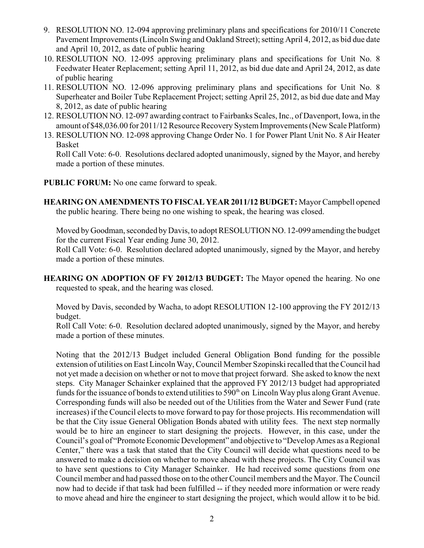- 9. RESOLUTION NO. 12-094 approving preliminary plans and specifications for 2010/11 Concrete Pavement Improvements (Lincoln Swing and Oakland Street); setting April 4, 2012, as bid due date and April 10, 2012, as date of public hearing
- 10. RESOLUTION NO. 12-095 approving preliminary plans and specifications for Unit No. 8 Feedwater Heater Replacement; setting April 11, 2012, as bid due date and April 24, 2012, as date of public hearing
- 11. RESOLUTION NO. 12-096 approving preliminary plans and specifications for Unit No. 8 Superheater and Boiler Tube Replacement Project; setting April 25, 2012, as bid due date and May 8, 2012, as date of public hearing
- 12. RESOLUTION NO. 12-097 awarding contract to Fairbanks Scales, Inc., of Davenport, Iowa, in the amount of \$48,036.00 for 2011/12 Resource Recovery System Improvements (New Scale Platform)
- 13. RESOLUTION NO. 12-098 approving Change Order No. 1 for Power Plant Unit No. 8 Air Heater Basket

Roll Call Vote: 6-0. Resolutions declared adopted unanimously, signed by the Mayor, and hereby made a portion of these minutes.

**PUBLIC FORUM:** No one came forward to speak.

**HEARING ON AMENDMENTS TO FISCAL YEAR 2011/12 BUDGET:** Mayor Campbell opened the public hearing. There being no one wishing to speak, the hearing was closed.

Moved by Goodman, seconded by Davis, to adopt RESOLUTION NO. 12-099 amending the budget for the current Fiscal Year ending June 30, 2012.

Roll Call Vote: 6-0. Resolution declared adopted unanimously, signed by the Mayor, and hereby made a portion of these minutes.

**HEARING ON ADOPTION OF FY 2012/13 BUDGET:** The Mayor opened the hearing. No one requested to speak, and the hearing was closed.

Moved by Davis, seconded by Wacha, to adopt RESOLUTION 12-100 approving the FY 2012/13 budget.

Roll Call Vote: 6-0. Resolution declared adopted unanimously, signed by the Mayor, and hereby made a portion of these minutes.

Noting that the 2012/13 Budget included General Obligation Bond funding for the possible extension of utilities on East Lincoln Way, Council Member Szopinski recalled that the Council had not yet made a decision on whether or not to move that project forward. She asked to know the next steps. City Manager Schainker explained that the approved FY 2012/13 budget had appropriated funds for the issuance of bonds to extend utilities to 590<sup>th</sup> on Lincoln Way plus along Grant Avenue. Corresponding funds will also be needed out of the Utilities from the Water and Sewer Fund (rate increases) if the Council elects to move forward to pay for those projects. His recommendation will be that the City issue General Obligation Bonds abated with utility fees. The next step normally would be to hire an engineer to start designing the projects. However, in this case, under the Council's goal of "Promote Economic Development" and objective to "Develop Ames as a Regional Center," there was a task that stated that the City Council will decide what questions need to be answered to make a decision on whether to move ahead with these projects. The City Council was to have sent questions to City Manager Schainker. He had received some questions from one Council member and had passed those on to the other Council members and the Mayor. The Council now had to decide if that task had been fulfilled -- if they needed more information or were ready to move ahead and hire the engineer to start designing the project, which would allow it to be bid.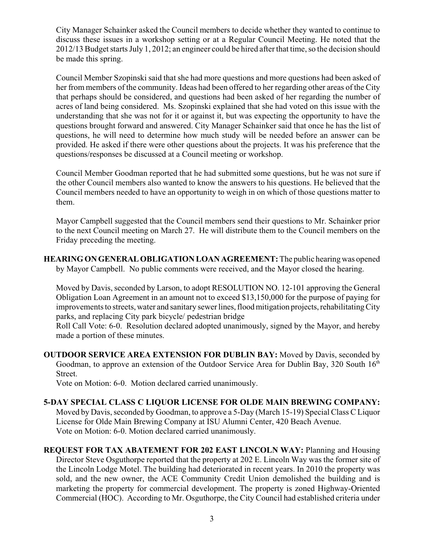City Manager Schainker asked the Council members to decide whether they wanted to continue to discuss these issues in a workshop setting or at a Regular Council Meeting. He noted that the 2012/13 Budget starts July 1, 2012; an engineer could be hired after that time, so the decision should be made this spring.

Council Member Szopinski said that she had more questions and more questions had been asked of her from members of the community. Ideas had been offered to her regarding other areas of the City that perhaps should be considered, and questions had been asked of her regarding the number of acres of land being considered. Ms. Szopinski explained that she had voted on this issue with the understanding that she was not for it or against it, but was expecting the opportunity to have the questions brought forward and answered. City Manager Schainker said that once he has the list of questions, he will need to determine how much study will be needed before an answer can be provided. He asked if there were other questions about the projects. It was his preference that the questions/responses be discussed at a Council meeting or workshop.

Council Member Goodman reported that he had submitted some questions, but he was not sure if the other Council members also wanted to know the answers to his questions. He believed that the Council members needed to have an opportunity to weigh in on which of those questions matter to them.

Mayor Campbell suggested that the Council members send their questions to Mr. Schainker prior to the next Council meeting on March 27. He will distribute them to the Council members on the Friday preceding the meeting.

**HEARING ON GENERAL OBLIGATION LOAN AGREEMENT:** The public hearing was opened by Mayor Campbell. No public comments were received, and the Mayor closed the hearing.

Moved by Davis, seconded by Larson, to adopt RESOLUTION NO. 12-101 approving the General Obligation Loan Agreement in an amount not to exceed \$13,150,000 for the purpose of paying for improvements to streets, water and sanitary sewer lines, flood mitigation projects, rehabilitating City parks, and replacing City park bicycle/ pedestrian bridge

Roll Call Vote: 6-0. Resolution declared adopted unanimously, signed by the Mayor, and hereby made a portion of these minutes.

**OUTDOOR SERVICE AREA EXTENSION FOR DUBLIN BAY:** Moved by Davis, seconded by Goodman, to approve an extension of the Outdoor Service Area for Dublin Bay, 320 South 16<sup>th</sup> Street.

Vote on Motion: 6-0. Motion declared carried unanimously.

### **5-DAY SPECIAL CLASS C LIQUOR LICENSE FOR OLDE MAIN BREWING COMPANY:**

Moved by Davis, seconded by Goodman, to approve a 5-Day (March 15-19) Special Class C Liquor License for Olde Main Brewing Company at ISU Alumni Center, 420 Beach Avenue. Vote on Motion: 6-0. Motion declared carried unanimously.

**REQUEST FOR TAX ABATEMENT FOR 202 EAST LINCOLN WAY:** Planning and Housing Director Steve Osguthorpe reported that the property at 202 E. Lincoln Way was the former site of the Lincoln Lodge Motel. The building had deteriorated in recent years. In 2010 the property was sold, and the new owner, the ACE Community Credit Union demolished the building and is marketing the property for commercial development. The property is zoned Highway-Oriented Commercial (HOC). According to Mr. Osguthorpe, the City Council had established criteria under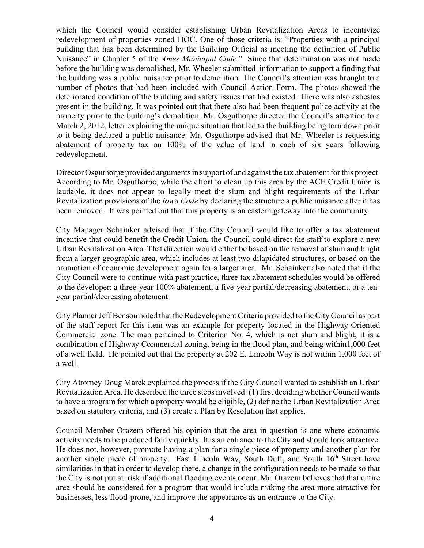which the Council would consider establishing Urban Revitalization Areas to incentivize redevelopment of properties zoned HOC. One of those criteria is: "Properties with a principal building that has been determined by the Building Official as meeting the definition of Public Nuisance" in Chapter 5 of the *Ames Municipal Code.*" Since that determination was not made before the building was demolished, Mr. Wheeler submitted information to support a finding that the building was a public nuisance prior to demolition. The Council's attention was brought to a number of photos that had been included with Council Action Form. The photos showed the deteriorated condition of the building and safety issues that had existed. There was also asbestos present in the building. It was pointed out that there also had been frequent police activity at the property prior to the building's demolition. Mr. Osguthorpe directed the Council's attention to a March 2, 2012, letter explaining the unique situation that led to the building being torn down prior to it being declared a public nuisance. Mr. Osguthorpe advised that Mr. Wheeler is requesting abatement of property tax on 100% of the value of land in each of six years following redevelopment.

Director Osguthorpe provided arguments in support of and against the tax abatement for this project. According to Mr. Osguthorpe, while the effort to clean up this area by the ACE Credit Union is laudable, it does not appear to legally meet the slum and blight requirements of the Urban Revitalization provisions of the *Iowa Code* by declaring the structure a public nuisance after it has been removed. It was pointed out that this property is an eastern gateway into the community.

City Manager Schainker advised that if the City Council would like to offer a tax abatement incentive that could benefit the Credit Union, the Council could direct the staff to explore a new Urban Revitalization Area. That direction would either be based on the removal of slum and blight from a larger geographic area, which includes at least two dilapidated structures, or based on the promotion of economic development again for a larger area. Mr. Schainker also noted that if the City Council were to continue with past practice, three tax abatement schedules would be offered to the developer: a three-year 100% abatement, a five-year partial/decreasing abatement, or a tenyear partial/decreasing abatement.

City Planner Jeff Benson noted that the Redevelopment Criteria provided to the City Council as part of the staff report for this item was an example for property located in the Highway-Oriented Commercial zone. The map pertained to Criterion No. 4, which is not slum and blight; it is a combination of Highway Commercial zoning, being in the flood plan, and being within1,000 feet of a well field. He pointed out that the property at 202 E. Lincoln Way is not within 1,000 feet of a well.

City Attorney Doug Marek explained the process if the City Council wanted to establish an Urban Revitalization Area. He described the three steps involved: (1) first deciding whether Council wants to have a program for which a property would be eligible, (2) define the Urban Revitalization Area based on statutory criteria, and (3) create a Plan by Resolution that applies.

Council Member Orazem offered his opinion that the area in question is one where economic activity needs to be produced fairly quickly. It is an entrance to the City and should look attractive. He does not, however, promote having a plan for a single piece of property and another plan for another single piece of property. East Lincoln Way, South Duff, and South  $16<sup>th</sup>$  Street have similarities in that in order to develop there, a change in the configuration needs to be made so that the City is not put at risk if additional flooding events occur. Mr. Orazem believes that that entire area should be considered for a program that would include making the area more attractive for businesses, less flood-prone, and improve the appearance as an entrance to the City.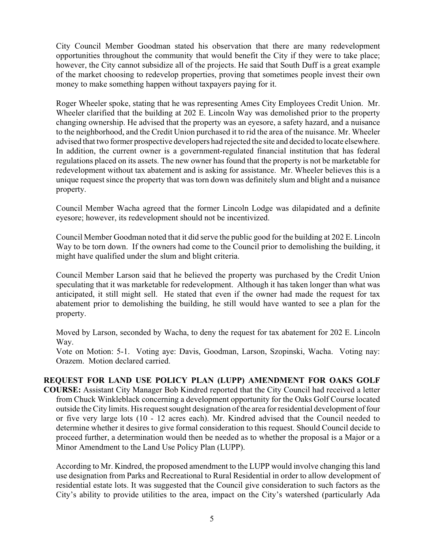City Council Member Goodman stated his observation that there are many redevelopment opportunities throughout the community that would benefit the City if they were to take place; however, the City cannot subsidize all of the projects. He said that South Duff is a great example of the market choosing to redevelop properties, proving that sometimes people invest their own money to make something happen without taxpayers paying for it.

Roger Wheeler spoke, stating that he was representing Ames City Employees Credit Union. Mr. Wheeler clarified that the building at 202 E. Lincoln Way was demolished prior to the property changing ownership. He advised that the property was an eyesore, a safety hazard, and a nuisance to the neighborhood, and the Credit Union purchased it to rid the area of the nuisance. Mr. Wheeler advised that two former prospective developers had rejected the site and decided to locate elsewhere. In addition, the current owner is a government-regulated financial institution that has federal regulations placed on its assets. The new owner has found that the property is not be marketable for redevelopment without tax abatement and is asking for assistance. Mr. Wheeler believes this is a unique request since the property that was torn down was definitely slum and blight and a nuisance property.

Council Member Wacha agreed that the former Lincoln Lodge was dilapidated and a definite eyesore; however, its redevelopment should not be incentivized.

Council Member Goodman noted that it did serve the public good for the building at 202 E. Lincoln Way to be torn down. If the owners had come to the Council prior to demolishing the building, it might have qualified under the slum and blight criteria.

Council Member Larson said that he believed the property was purchased by the Credit Union speculating that it was marketable for redevelopment. Although it has taken longer than what was anticipated, it still might sell. He stated that even if the owner had made the request for tax abatement prior to demolishing the building, he still would have wanted to see a plan for the property.

Moved by Larson, seconded by Wacha, to deny the request for tax abatement for 202 E. Lincoln Way.

Vote on Motion: 5-1. Voting aye: Davis, Goodman, Larson, Szopinski, Wacha. Voting nay: Orazem. Motion declared carried.

## **REQUEST FOR LAND USE POLICY PLAN (LUPP) AMENDMENT FOR OAKS GOLF COURSE:** Assistant City Manager Bob Kindred reported that the City Council had received a letter from Chuck Winkleblack concerning a development opportunity for the Oaks Golf Course located outside the City limits. His request sought designation of the area for residential development of four or five very large lots (10 - 12 acres each). Mr. Kindred advised that the Council needed to determine whether it desires to give formal consideration to this request. Should Council decide to proceed further, a determination would then be needed as to whether the proposal is a Major or a Minor Amendment to the Land Use Policy Plan (LUPP).

According to Mr. Kindred, the proposed amendment to the LUPP would involve changing this land use designation from Parks and Recreational to Rural Residential in order to allow development of residential estate lots. It was suggested that the Council give consideration to such factors as the City's ability to provide utilities to the area, impact on the City's watershed (particularly Ada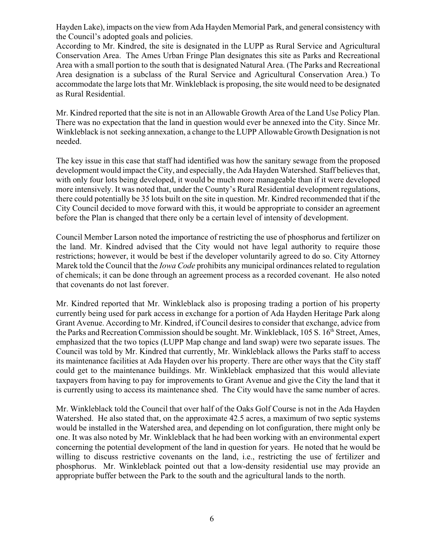Hayden Lake), impacts on the view from Ada Hayden Memorial Park, and general consistency with the Council's adopted goals and policies.

According to Mr. Kindred, the site is designated in the LUPP as Rural Service and Agricultural Conservation Area. The Ames Urban Fringe Plan designates this site as Parks and Recreational Area with a small portion to the south that is designated Natural Area. (The Parks and Recreational Area designation is a subclass of the Rural Service and Agricultural Conservation Area.) To accommodate the large lots that Mr. Winkleblack is proposing, the site would need to be designated as Rural Residential.

Mr. Kindred reported that the site is not in an Allowable Growth Area of the Land Use Policy Plan. There was no expectation that the land in question would ever be annexed into the City. Since Mr. Winkleblack is not seeking annexation, a change to the LUPP Allowable Growth Designation is not needed.

The key issue in this case that staff had identified was how the sanitary sewage from the proposed development would impact the City, and especially, the Ada Hayden Watershed. Staff believes that, with only four lots being developed, it would be much more manageable than if it were developed more intensively. It was noted that, under the County's Rural Residential development regulations, there could potentially be 35 lots built on the site in question. Mr. Kindred recommended that if the City Council decided to move forward with this, it would be appropriate to consider an agreement before the Plan is changed that there only be a certain level of intensity of development.

Council Member Larson noted the importance of restricting the use of phosphorus and fertilizer on the land. Mr. Kindred advised that the City would not have legal authority to require those restrictions; however, it would be best if the developer voluntarily agreed to do so. City Attorney Marek told the Council that the *Iowa Code* prohibits any municipal ordinances related to regulation of chemicals; it can be done through an agreement process as a recorded covenant. He also noted that covenants do not last forever.

Mr. Kindred reported that Mr. Winkleblack also is proposing trading a portion of his property currently being used for park access in exchange for a portion of Ada Hayden Heritage Park along Grant Avenue. According to Mr. Kindred, if Council desires to consider that exchange, advice from the Parks and Recreation Commission should be sought. Mr. Winkleblack, 105 S. 16<sup>th</sup> Street, Ames, emphasized that the two topics (LUPP Map change and land swap) were two separate issues. The Council was told by Mr. Kindred that currently, Mr. Winkleblack allows the Parks staff to access its maintenance facilities at Ada Hayden over his property. There are other ways that the City staff could get to the maintenance buildings. Mr. Winkleblack emphasized that this would alleviate taxpayers from having to pay for improvements to Grant Avenue and give the City the land that it is currently using to access its maintenance shed. The City would have the same number of acres.

Mr. Winkleblack told the Council that over half of the Oaks Golf Course is not in the Ada Hayden Watershed. He also stated that, on the approximate 42.5 acres, a maximum of two septic systems would be installed in the Watershed area, and depending on lot configuration, there might only be one. It was also noted by Mr. Winkleblack that he had been working with an environmental expert concerning the potential development of the land in question for years. He noted that he would be willing to discuss restrictive covenants on the land, i.e., restricting the use of fertilizer and phosphorus. Mr. Winkleblack pointed out that a low-density residential use may provide an appropriate buffer between the Park to the south and the agricultural lands to the north.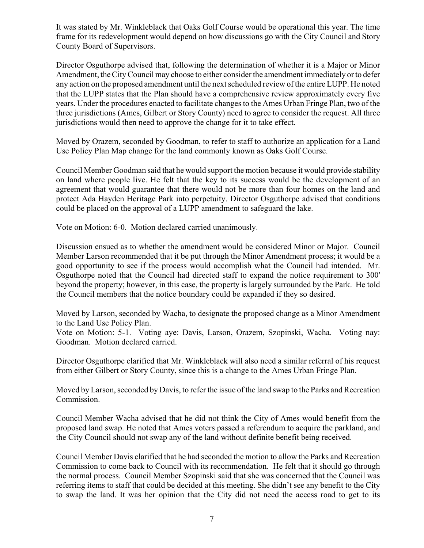It was stated by Mr. Winkleblack that Oaks Golf Course would be operational this year. The time frame for its redevelopment would depend on how discussions go with the City Council and Story County Board of Supervisors.

Director Osguthorpe advised that, following the determination of whether it is a Major or Minor Amendment, the City Council may choose to either consider the amendment immediately or to defer any action on the proposed amendment until the next scheduled review of the entire LUPP. He noted that the LUPP states that the Plan should have a comprehensive review approximately every five years. Under the procedures enacted to facilitate changes to the Ames Urban Fringe Plan, two of the three jurisdictions (Ames, Gilbert or Story County) need to agree to consider the request. All three jurisdictions would then need to approve the change for it to take effect.

Moved by Orazem, seconded by Goodman, to refer to staff to authorize an application for a Land Use Policy Plan Map change for the land commonly known as Oaks Golf Course.

Council Member Goodman said that he would support the motion because it would provide stability on land where people live. He felt that the key to its success would be the development of an agreement that would guarantee that there would not be more than four homes on the land and protect Ada Hayden Heritage Park into perpetuity. Director Osguthorpe advised that conditions could be placed on the approval of a LUPP amendment to safeguard the lake.

Vote on Motion: 6-0. Motion declared carried unanimously.

Discussion ensued as to whether the amendment would be considered Minor or Major. Council Member Larson recommended that it be put through the Minor Amendment process; it would be a good opportunity to see if the process would accomplish what the Council had intended. Mr. Osguthorpe noted that the Council had directed staff to expand the notice requirement to 300' beyond the property; however, in this case, the property is largely surrounded by the Park. He told the Council members that the notice boundary could be expanded if they so desired.

Moved by Larson, seconded by Wacha, to designate the proposed change as a Minor Amendment to the Land Use Policy Plan.

Vote on Motion: 5-1. Voting aye: Davis, Larson, Orazem, Szopinski, Wacha. Voting nay: Goodman. Motion declared carried.

Director Osguthorpe clarified that Mr. Winkleblack will also need a similar referral of his request from either Gilbert or Story County, since this is a change to the Ames Urban Fringe Plan.

Moved by Larson, seconded by Davis, to refer the issue of the land swap to the Parks and Recreation Commission.

Council Member Wacha advised that he did not think the City of Ames would benefit from the proposed land swap. He noted that Ames voters passed a referendum to acquire the parkland, and the City Council should not swap any of the land without definite benefit being received.

Council Member Davis clarified that he had seconded the motion to allow the Parks and Recreation Commission to come back to Council with its recommendation. He felt that it should go through the normal process. Council Member Szopinski said that she was concerned that the Council was referring items to staff that could be decided at this meeting. She didn't see any benefit to the City to swap the land. It was her opinion that the City did not need the access road to get to its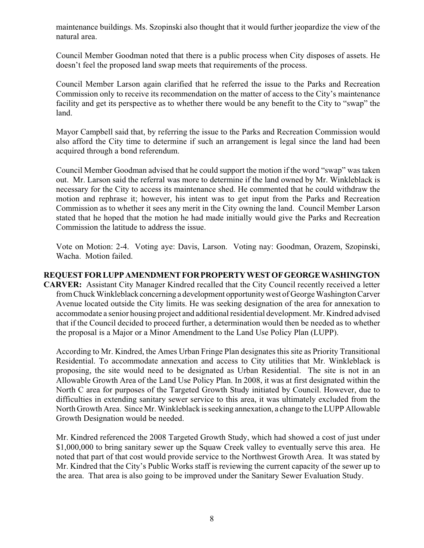maintenance buildings. Ms. Szopinski also thought that it would further jeopardize the view of the natural area.

Council Member Goodman noted that there is a public process when City disposes of assets. He doesn't feel the proposed land swap meets that requirements of the process.

Council Member Larson again clarified that he referred the issue to the Parks and Recreation Commission only to receive its recommendation on the matter of access to the City's maintenance facility and get its perspective as to whether there would be any benefit to the City to "swap" the land.

Mayor Campbell said that, by referring the issue to the Parks and Recreation Commission would also afford the City time to determine if such an arrangement is legal since the land had been acquired through a bond referendum.

Council Member Goodman advised that he could support the motion if the word "swap" was taken out. Mr. Larson said the referral was more to determine if the land owned by Mr. Winkleblack is necessary for the City to access its maintenance shed. He commented that he could withdraw the motion and rephrase it; however, his intent was to get input from the Parks and Recreation Commission as to whether it sees any merit in the City owning the land. Council Member Larson stated that he hoped that the motion he had made initially would give the Parks and Recreation Commission the latitude to address the issue.

Vote on Motion: 2-4. Voting aye: Davis, Larson. Voting nay: Goodman, Orazem, Szopinski, Wacha. Motion failed.

# **REQUEST FOR LUPP AMENDMENT FOR PROPERTY WEST OF GEORGE WASHINGTON**

**CARVER:** Assistant City Manager Kindred recalled that the City Council recently received a letter from Chuck Winkleblack concerning a development opportunity west of George Washington Carver Avenue located outside the City limits. He was seeking designation of the area for annexation to accommodate a senior housing project and additional residential development. Mr. Kindred advised that if the Council decided to proceed further, a determination would then be needed as to whether the proposal is a Major or a Minor Amendment to the Land Use Policy Plan (LUPP).

According to Mr. Kindred, the Ames Urban Fringe Plan designates this site as Priority Transitional Residential. To accommodate annexation and access to City utilities that Mr. Winkleblack is proposing, the site would need to be designated as Urban Residential. The site is not in an Allowable Growth Area of the Land Use Policy Plan. In 2008, it was at first designated within the North C area for purposes of the Targeted Growth Study initiated by Council. However, due to difficulties in extending sanitary sewer service to this area, it was ultimately excluded from the North Growth Area. Since Mr. Winkleblack is seeking annexation, a change to the LUPP Allowable Growth Designation would be needed.

Mr. Kindred referenced the 2008 Targeted Growth Study, which had showed a cost of just under \$1,000,000 to bring sanitary sewer up the Squaw Creek valley to eventually serve this area. He noted that part of that cost would provide service to the Northwest Growth Area. It was stated by Mr. Kindred that the City's Public Works staff is reviewing the current capacity of the sewer up to the area. That area is also going to be improved under the Sanitary Sewer Evaluation Study.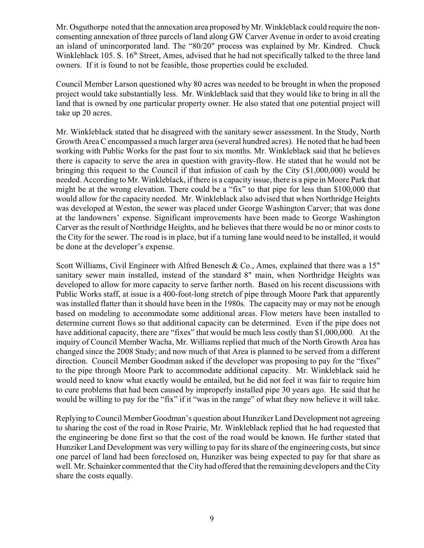Mr. Osguthorpe noted that the annexation area proposed by Mr. Winkleblack could require the nonconsenting annexation of three parcels of land along GW Carver Avenue in order to avoid creating an island of unincorporated land. The "80/20" process was explained by Mr. Kindred. Chuck Winkleblack 105. S.  $16<sup>th</sup>$  Street, Ames, advised that he had not specifically talked to the three land owners. If it is found to not be feasible, those properties could be excluded.

Council Member Larson questioned why 80 acres was needed to be brought in when the proposed project would take substantially less. Mr. Winkleblack said that they would like to bring in all the land that is owned by one particular property owner. He also stated that one potential project will take up 20 acres.

Mr. Winkleblack stated that he disagreed with the sanitary sewer assessment. In the Study, North Growth Area C encompassed a much larger area (several hundred acres). He noted that he had been working with Public Works for the past four to six months. Mr. Winkleblack said that he believes there is capacity to serve the area in question with gravity-flow. He stated that he would not be bringing this request to the Council if that infusion of cash by the City (\$1,000,000) would be needed. According to Mr. Winkleblack, if there is a capacity issue, there is a pipe in Moore Park that might be at the wrong elevation. There could be a "fix" to that pipe for less than \$100,000 that would allow for the capacity needed. Mr. Winkleblack also advised that when Northridge Heights was developed at Weston, the sewer was placed under George Washington Carver; that was done at the landowners' expense. Significant improvements have been made to George Washington Carver as the result of Northridge Heights, and he believes that there would be no or minor costs to the City for the sewer. The road is in place, but if a turning lane would need to be installed, it would be done at the developer's expense.

Scott Williams, Civil Engineer with Alfred Benesch & Co., Ames, explained that there was a 15" sanitary sewer main installed, instead of the standard 8" main, when Northridge Heights was developed to allow for more capacity to serve farther north. Based on his recent discussions with Public Works staff, at issue is a 400-foot-long stretch of pipe through Moore Park that apparently was installed flatter than it should have been in the 1980s. The capacity may or may not be enough based on modeling to accommodate some additional areas. Flow meters have been installed to determine current flows so that additional capacity can be determined. Even if the pipe does not have additional capacity, there are "fixes" that would be much less costly than \$1,000,000. At the inquiry of Council Member Wacha, Mr. Williams replied that much of the North Growth Area has changed since the 2008 Study; and now much of that Area is planned to be served from a different direction. Council Member Goodman asked if the developer was proposing to pay for the "fixes" to the pipe through Moore Park to accommodate additional capacity. Mr. Winkleblack said he would need to know what exactly would be entailed, but he did not feel it was fair to require him to cure problems that had been caused by improperly installed pipe 30 years ago. He said that he would be willing to pay for the "fix" if it "was in the range" of what they now believe it will take.

Replying to Council Member Goodman's question about Hunziker Land Development not agreeing to sharing the cost of the road in Rose Prairie, Mr. Winkleblack replied that he had requested that the engineering be done first so that the cost of the road would be known. He further stated that Hunziker Land Development was very willing to pay for its share of the engineering costs, but since one parcel of land had been foreclosed on, Hunziker was being expected to pay for that share as well. Mr. Schainker commented that the City had offered that the remaining developers and the City share the costs equally.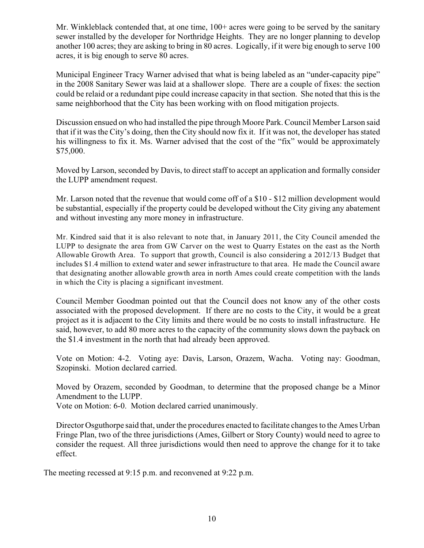Mr. Winkleblack contended that, at one time, 100+ acres were going to be served by the sanitary sewer installed by the developer for Northridge Heights. They are no longer planning to develop another 100 acres; they are asking to bring in 80 acres. Logically, if it were big enough to serve 100 acres, it is big enough to serve 80 acres.

Municipal Engineer Tracy Warner advised that what is being labeled as an "under-capacity pipe" in the 2008 Sanitary Sewer was laid at a shallower slope. There are a couple of fixes: the section could be relaid or a redundant pipe could increase capacity in that section. She noted that this is the same neighborhood that the City has been working with on flood mitigation projects.

Discussion ensued on who had installed the pipe through Moore Park. Council Member Larson said that if it was the City's doing, then the City should now fix it. If it was not, the developer has stated his willingness to fix it. Ms. Warner advised that the cost of the "fix" would be approximately \$75,000.

Moved by Larson, seconded by Davis, to direct staff to accept an application and formally consider the LUPP amendment request.

Mr. Larson noted that the revenue that would come off of a \$10 - \$12 million development would be substantial, especially if the property could be developed without the City giving any abatement and without investing any more money in infrastructure.

Mr. Kindred said that it is also relevant to note that, in January 2011, the City Council amended the LUPP to designate the area from GW Carver on the west to Quarry Estates on the east as the North Allowable Growth Area. To support that growth, Council is also considering a 2012/13 Budget that includes \$1.4 million to extend water and sewer infrastructure to that area. He made the Council aware that designating another allowable growth area in north Ames could create competition with the lands in which the City is placing a significant investment.

Council Member Goodman pointed out that the Council does not know any of the other costs associated with the proposed development. If there are no costs to the City, it would be a great project as it is adjacent to the City limits and there would be no costs to install infrastructure. He said, however, to add 80 more acres to the capacity of the community slows down the payback on the \$1.4 investment in the north that had already been approved.

Vote on Motion: 4-2. Voting aye: Davis, Larson, Orazem, Wacha. Voting nay: Goodman, Szopinski. Motion declared carried.

Moved by Orazem, seconded by Goodman, to determine that the proposed change be a Minor Amendment to the LUPP.

Vote on Motion: 6-0. Motion declared carried unanimously.

Director Osguthorpe said that, under the procedures enacted to facilitate changes to the Ames Urban Fringe Plan, two of the three jurisdictions (Ames, Gilbert or Story County) would need to agree to consider the request. All three jurisdictions would then need to approve the change for it to take effect.

The meeting recessed at 9:15 p.m. and reconvened at 9:22 p.m.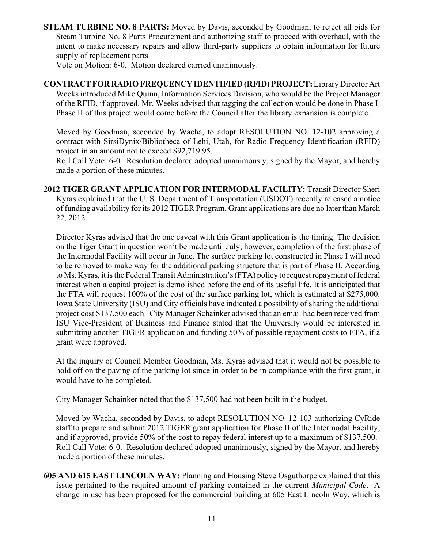**STEAM TURBINE NO. 8 PARTS:** Moved by Davis, seconded by Goodman, to reject all bids for Steam Turbine No. 8 Parts Procurement and authorizing staff to proceed with overhaul, with the intent to make necessary repairs and allow third-party suppliers to obtain information for future supply of replacement parts.

Vote on Motion: 6-0. Motion declared carried unanimously.

**CONTRACT FOR RADIO FREQUENCY IDENTIFIED (RFID) PROJECT:** Library Director Art Weeks introduced Mike Quinn, Information Services Division, who would be the Project Manager of the RFID, if approved. Mr. Weeks advised that tagging the collection would be done in Phase I. Phase II of this project would come before the Council after the library expansion is complete.

Moved by Goodman, seconded by Wacha, to adopt RESOLUTION NO. 12-102 approving a contract with SirsiDynix/Bibliotheca of Lehi, Utah, for Radio Frequency Identification (RFID) project in an amount not to exceed \$92,719.95.

Roll Call Vote: 6-0. Resolution declared adopted unanimously, signed by the Mayor, and hereby made a portion of these minutes.

**2012 TIGER GRANT APPLICATION FOR INTERMODAL FACILITY:** Transit Director Sheri Kyras explained that the U. S. Department of Transportation (USDOT) recently released a notice of funding availability for its 2012 TIGER Program. Grant applications are due no later than March 22, 2012.

Director Kyras advised that the one caveat with this Grant application is the timing. The decision on the Tiger Grant in question won't be made until July; however, completion of the first phase of the Intermodal Facility will occur in June. The surface parking lot constructed in Phase I will need to be removed to make way for the additional parking structure that is part of Phase II. According to Ms. Kyras, it is the Federal Transit Administration's (FTA) policy to request repayment of federal interest when a capital project is demolished before the end of its useful life. It is anticipated that the FTA will request 100% of the cost of the surface parking lot, which is estimated at \$275,000. Iowa State University (ISU) and City officials have indicated a possibility of sharing the additional project cost \$137,500 each. City Manager Schainker advised that an email had been received from ISU Vice-President of Business and Finance stated that the University would be interested in submitting another TIGER application and funding 50% of possible repayment costs to FTA, if a grant were approved.

At the inquiry of Council Member Goodman, Ms. Kyras advised that it would not be possible to hold off on the paving of the parking lot since in order to be in compliance with the first grant, it would have to be completed.

City Manager Schainker noted that the \$137,500 had not been built in the budget.

Moved by Wacha, seconded by Davis, to adopt RESOLUTION NO. 12-103 authorizing CyRide staff to prepare and submit 2012 TIGER grant application for Phase II of the Intermodal Facility, and if approved, provide 50% of the cost to repay federal interest up to a maximum of \$137,500. Roll Call Vote: 6-0. Resolution declared adopted unanimously, signed by the Mayor, and hereby made a portion of these minutes.

**605 AND 615 EAST LINCOLN WAY:** Planning and Housing Steve Osguthorpe explained that this issue pertained to the required amount of parking contained in the current *Municipal Code*. A change in use has been proposed for the commercial building at 605 East Lincoln Way, which is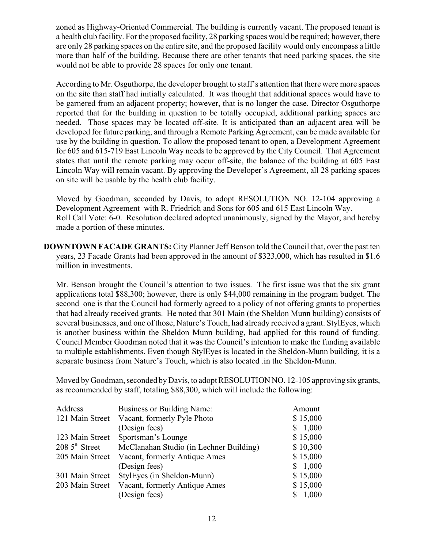zoned as Highway-Oriented Commercial. The building is currently vacant. The proposed tenant is a health club facility. For the proposed facility, 28 parking spaces would be required; however, there are only 28 parking spaces on the entire site, and the proposed facility would only encompass a little more than half of the building. Because there are other tenants that need parking spaces, the site would not be able to provide 28 spaces for only one tenant.

According to Mr. Osguthorpe, the developer brought to staff's attention that there were more spaces on the site than staff had initially calculated. It was thought that additional spaces would have to be garnered from an adjacent property; however, that is no longer the case. Director Osguthorpe reported that for the building in question to be totally occupied, additional parking spaces are needed. Those spaces may be located off-site. It is anticipated than an adjacent area will be developed for future parking, and through a Remote Parking Agreement, can be made available for use by the building in question. To allow the proposed tenant to open, a Development Agreement for 605 and 615-719 East Lincoln Way needs to be approved by the City Council. That Agreement states that until the remote parking may occur off-site, the balance of the building at 605 East Lincoln Way will remain vacant. By approving the Developer's Agreement, all 28 parking spaces on site will be usable by the health club facility.

Moved by Goodman, seconded by Davis, to adopt RESOLUTION NO. 12-104 approving a Development Agreement with R. Friedrich and Sons for 605 and 615 East Lincoln Way. Roll Call Vote: 6-0. Resolution declared adopted unanimously, signed by the Mayor, and hereby made a portion of these minutes.

**DOWNTOWN FACADE GRANTS:** City Planner Jeff Benson told the Council that, over the past ten years, 23 Facade Grants had been approved in the amount of \$323,000, which has resulted in \$1.6 million in investments.

Mr. Benson brought the Council's attention to two issues. The first issue was that the six grant applications total \$88,300; however, there is only \$44,000 remaining in the program budget. The second one is that the Council had formerly agreed to a policy of not offering grants to properties that had already received grants. He noted that 301 Main (the Sheldon Munn building) consists of several businesses, and one of those, Nature's Touch, had already received a grant. StylEyes, which is another business within the Sheldon Munn building, had applied for this round of funding. Council Member Goodman noted that it was the Council's intention to make the funding available to multiple establishments. Even though StylEyes is located in the Sheldon-Munn building, it is a separate business from Nature's Touch, which is also located .in the Sheldon-Munn.

Moved by Goodman, seconded by Davis, to adopt RESOLUTION NO. 12-105 approving six grants, as recommended by staff, totaling \$88,300, which will include the following:

| Address                   | Business or Building Name:              | Amount   |
|---------------------------|-----------------------------------------|----------|
| 121 Main Street           | Vacant, formerly Pyle Photo             | \$15,000 |
|                           | (Design fees)                           | 1,000    |
| 123 Main Street           | Sportsman's Lounge                      | \$15,000 |
| $2085^{\text{th}}$ Street | McClanahan Studio (in Lechner Building) | \$10,300 |
| 205 Main Street           | Vacant, formerly Antique Ames           | \$15,000 |
|                           | (Design fees)                           | 1,000    |
| 301 Main Street           | StylEyes (in Sheldon-Munn)              | \$15,000 |
| 203 Main Street           | Vacant, formerly Antique Ames           | \$15,000 |
|                           | (Design fees)                           | 1,000    |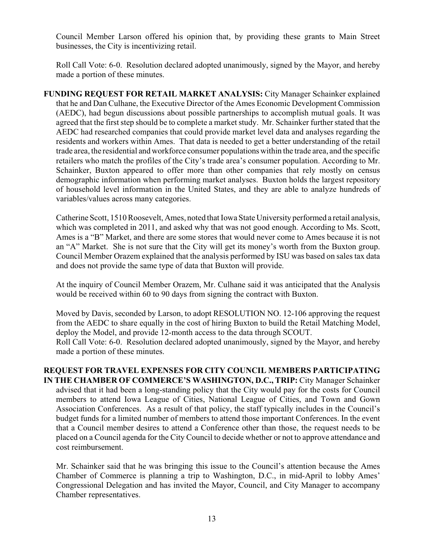Council Member Larson offered his opinion that, by providing these grants to Main Street businesses, the City is incentivizing retail.

Roll Call Vote: 6-0. Resolution declared adopted unanimously, signed by the Mayor, and hereby made a portion of these minutes.

**FUNDING REQUEST FOR RETAIL MARKET ANALYSIS:** City Manager Schainker explained that he and Dan Culhane, the Executive Director of the Ames Economic Development Commission (AEDC), had begun discussions about possible partnerships to accomplish mutual goals. It was agreed that the first step should be to complete a market study. Mr. Schainker further stated that the AEDC had researched companies that could provide market level data and analyses regarding the residents and workers within Ames. That data is needed to get a better understanding of the retail trade area, the residential and workforce consumer populations within the trade area, and the specific retailers who match the profiles of the City's trade area's consumer population. According to Mr. Schainker, Buxton appeared to offer more than other companies that rely mostly on census demographic information when performing market analyses. Buxton holds the largest repository of household level information in the United States, and they are able to analyze hundreds of variables/values across many categories.

Catherine Scott, 1510 Roosevelt, Ames, noted that Iowa State University performed a retail analysis, which was completed in 2011, and asked why that was not good enough. According to Ms. Scott, Ames is a "B" Market, and there are some stores that would never come to Ames because it is not an "A" Market. She is not sure that the City will get its money's worth from the Buxton group. Council Member Orazem explained that the analysis performed by ISU was based on sales tax data and does not provide the same type of data that Buxton will provide.

At the inquiry of Council Member Orazem, Mr. Culhane said it was anticipated that the Analysis would be received within 60 to 90 days from signing the contract with Buxton.

Moved by Davis, seconded by Larson, to adopt RESOLUTION NO. 12-106 approving the request from the AEDC to share equally in the cost of hiring Buxton to build the Retail Matching Model, deploy the Model, and provide 12-month access to the data through SCOUT. Roll Call Vote: 6-0. Resolution declared adopted unanimously, signed by the Mayor, and hereby made a portion of these minutes.

## **REQUEST FOR TRAVEL EXPENSES FOR CITY COUNCIL MEMBERS PARTICIPATING IN THE CHAMBER OF COMMERCE'S WASHINGTON, D.C., TRIP: City Manager Schainker** advised that it had been a long-standing policy that the City would pay for the costs for Council members to attend Iowa League of Cities, National League of Cities, and Town and Gown Association Conferences. As a result of that policy, the staff typically includes in the Council's budget funds for a limited number of members to attend those important Conferences. In the event that a Council member desires to attend a Conference other than those, the request needs to be placed on a Council agenda for the City Council to decide whether or not to approve attendance and cost reimbursement.

Mr. Schainker said that he was bringing this issue to the Council's attention because the Ames Chamber of Commerce is planning a trip to Washington, D.C., in mid-April to lobby Ames' Congressional Delegation and has invited the Mayor, Council, and City Manager to accompany Chamber representatives.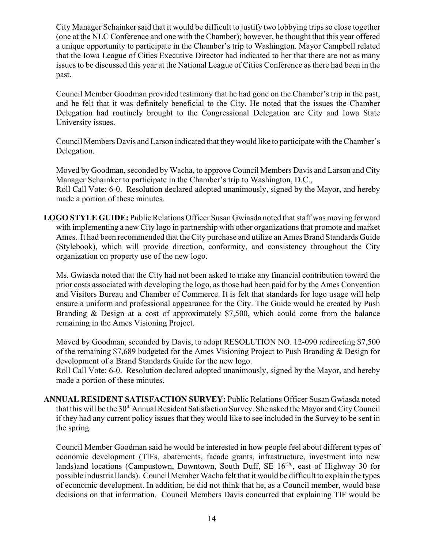City Manager Schainker said that it would be difficult to justify two lobbying trips so close together (one at the NLC Conference and one with the Chamber); however, he thought that this year offered a unique opportunity to participate in the Chamber's trip to Washington. Mayor Campbell related that the Iowa League of Cities Executive Director had indicated to her that there are not as many issues to be discussed this year at the National League of Cities Conference as there had been in the past.

Council Member Goodman provided testimony that he had gone on the Chamber's trip in the past, and he felt that it was definitely beneficial to the City. He noted that the issues the Chamber Delegation had routinely brought to the Congressional Delegation are City and Iowa State University issues.

Council Members Davis and Larson indicated that they would like to participate with the Chamber's Delegation.

Moved by Goodman, seconded by Wacha, to approve Council Members Davis and Larson and City Manager Schainker to participate in the Chamber's trip to Washington, D.C., Roll Call Vote: 6-0. Resolution declared adopted unanimously, signed by the Mayor, and hereby made a portion of these minutes.

**LOGO STYLE GUIDE:** Public Relations Officer Susan Gwiasda noted that staff was moving forward with implementing a new City logo in partnership with other organizations that promote and market Ames. It had been recommended that the City purchase and utilize an Ames Brand Standards Guide (Stylebook), which will provide direction, conformity, and consistency throughout the City organization on property use of the new logo.

Ms. Gwiasda noted that the City had not been asked to make any financial contribution toward the prior costs associated with developing the logo, as those had been paid for by the Ames Convention and Visitors Bureau and Chamber of Commerce. It is felt that standards for logo usage will help ensure a uniform and professional appearance for the City. The Guide would be created by Push Branding & Design at a cost of approximately \$7,500, which could come from the balance remaining in the Ames Visioning Project.

Moved by Goodman, seconded by Davis, to adopt RESOLUTION NO. 12-090 redirecting \$7,500 of the remaining \$7,689 budgeted for the Ames Visioning Project to Push Branding & Design for development of a Brand Standards Guide for the new logo.

Roll Call Vote: 6-0. Resolution declared adopted unanimously, signed by the Mayor, and hereby made a portion of these minutes.

**ANNUAL RESIDENT SATISFACTION SURVEY:** Public Relations Officer Susan Gwiasda noted that this will be the 30<sup>th</sup> Annual Resident Satisfaction Survey. She asked the Mayor and City Council if they had any current policy issues that they would like to see included in the Survey to be sent in the spring.

Council Member Goodman said he would be interested in how people feel about different types of economic development (TIFs, abatements, facade grants, infrastructure, investment into new lands)and locations (Campustown, Downtown, South Duff, SE  $16<sup>th</sup>$ , east of Highway 30 for possible industrial lands). Council Member Wacha felt that it would be difficult to explain the types of economic development. In addition, he did not think that he, as a Council member, would base decisions on that information. Council Members Davis concurred that explaining TIF would be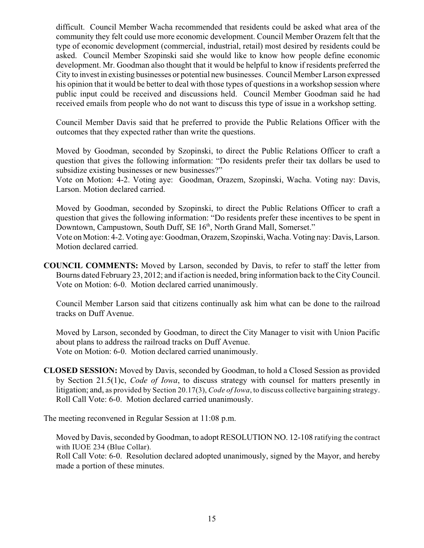difficult. Council Member Wacha recommended that residents could be asked what area of the community they felt could use more economic development. Council Member Orazem felt that the type of economic development (commercial, industrial, retail) most desired by residents could be asked. Council Member Szopinski said she would like to know how people define economic development. Mr. Goodman also thought that it would be helpful to know if residents preferred the City to invest in existing businesses or potential new businesses. Council Member Larson expressed his opinion that it would be better to deal with those types of questions in a workshop session where public input could be received and discussions held. Council Member Goodman said he had received emails from people who do not want to discuss this type of issue in a workshop setting.

Council Member Davis said that he preferred to provide the Public Relations Officer with the outcomes that they expected rather than write the questions.

Moved by Goodman, seconded by Szopinski, to direct the Public Relations Officer to craft a question that gives the following information: "Do residents prefer their tax dollars be used to subsidize existing businesses or new businesses?"

Vote on Motion: 4-2. Voting aye: Goodman, Orazem, Szopinski, Wacha. Voting nay: Davis, Larson. Motion declared carried.

Moved by Goodman, seconded by Szopinski, to direct the Public Relations Officer to craft a question that gives the following information: "Do residents prefer these incentives to be spent in Downtown, Campustown, South Duff, SE 16<sup>th</sup>, North Grand Mall, Somerset." Vote on Motion: 4-2. Voting aye: Goodman, Orazem, Szopinski, Wacha. Voting nay: Davis, Larson. Motion declared carried.

**COUNCIL COMMENTS:** Moved by Larson, seconded by Davis, to refer to staff the letter from Bourns dated February 23, 2012; and if action is needed, bring information back to the City Council. Vote on Motion: 6-0. Motion declared carried unanimously.

Council Member Larson said that citizens continually ask him what can be done to the railroad tracks on Duff Avenue.

Moved by Larson, seconded by Goodman, to direct the City Manager to visit with Union Pacific about plans to address the railroad tracks on Duff Avenue. Vote on Motion: 6-0. Motion declared carried unanimously.

**CLOSED SESSION:** Moved by Davis, seconded by Goodman, to hold a Closed Session as provided by Section 21.5(1)c, *Code of Iowa*, to discuss strategy with counsel for matters presently in litigation; and, as provided by Section 20.17(3), *Code of Iowa*, to discuss collective bargaining strategy. Roll Call Vote: 6-0. Motion declared carried unanimously.

The meeting reconvened in Regular Session at 11:08 p.m.

Moved by Davis, seconded by Goodman, to adopt RESOLUTION NO. 12-108 ratifying the contract with IUOE 234 (Blue Collar).

Roll Call Vote: 6-0. Resolution declared adopted unanimously, signed by the Mayor, and hereby made a portion of these minutes.